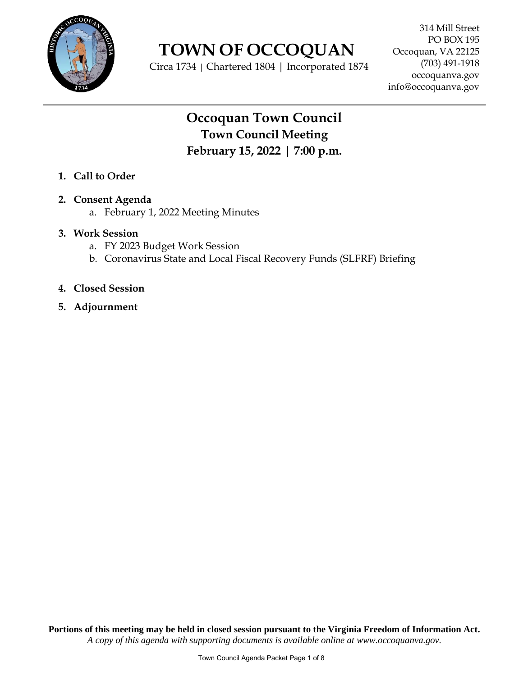

**TOWN OF OCCOQUAN**

Circa 1734 | Chartered 1804 | Incorporated 1874

# **Occoquan Town Council Town Council Meeting February 15, 2022 | 7:00 p.m.**

- **1. Call to Order**
- **2. Consent Agenda**
	- a. February 1, 2022 Meeting Minutes
- **3. Work Session**
	- a. FY 2023 Budget Work Session
	- b. Coronavirus State and Local Fiscal Recovery Funds (SLFRF) Briefing
- **4. Closed Session**
- **5. Adjournment**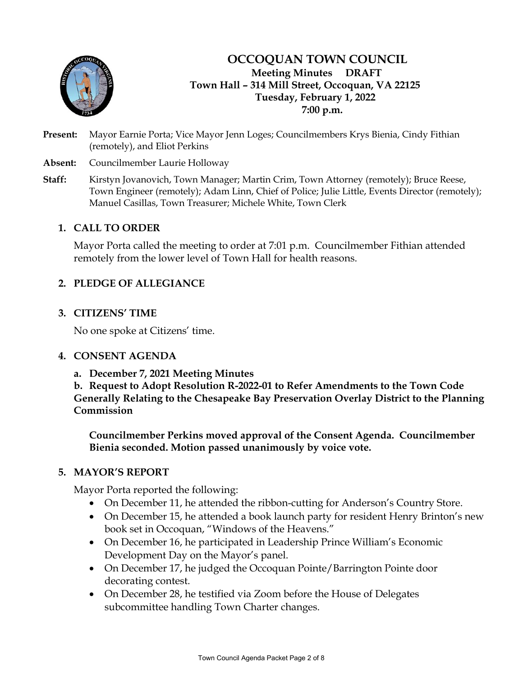

## **OCCOQUAN TOWN COUNCIL Meeting Minutes DRAFT Town Hall – 314 Mill Street, Occoquan, VA 22125 Tuesday, February 1, 2022 7:00 p.m.**

**Present:** Mayor Earnie Porta; Vice Mayor Jenn Loges; Councilmembers Krys Bienia, Cindy Fithian (remotely), and Eliot Perkins

**Absent:** Councilmember Laurie Holloway

**Staff:** Kirstyn Jovanovich, Town Manager; Martin Crim, Town Attorney (remotely); Bruce Reese, Town Engineer (remotely); Adam Linn, Chief of Police; Julie Little, Events Director (remotely); Manuel Casillas, Town Treasurer; Michele White, Town Clerk

### **1. CALL TO ORDER**

Mayor Porta called the meeting to order at 7:01 p.m. Councilmember Fithian attended remotely from the lower level of Town Hall for health reasons.

## **2. PLEDGE OF ALLEGIANCE**

## **3. CITIZENS' TIME**

No one spoke at Citizens' time.

## **4. CONSENT AGENDA**

**a. December 7, 2021 Meeting Minutes**

**b. Request to Adopt Resolution R-2022-01 to Refer Amendments to the Town Code Generally Relating to the Chesapeake Bay Preservation Overlay District to the Planning Commission**

**Councilmember Perkins moved approval of the Consent Agenda. Councilmember Bienia seconded. Motion passed unanimously by voice vote.**

## **5. MAYOR'S REPORT**

Mayor Porta reported the following:

- On December 11, he attended the ribbon-cutting for Anderson's Country Store.
- On December 15, he attended a book launch party for resident Henry Brinton's new book set in Occoquan, "Windows of the Heavens."
- On December 16, he participated in Leadership Prince William's Economic Development Day on the Mayor's panel.
- On December 17, he judged the Occoquan Pointe/Barrington Pointe door decorating contest.
- On December 28, he testified via Zoom before the House of Delegates subcommittee handling Town Charter changes.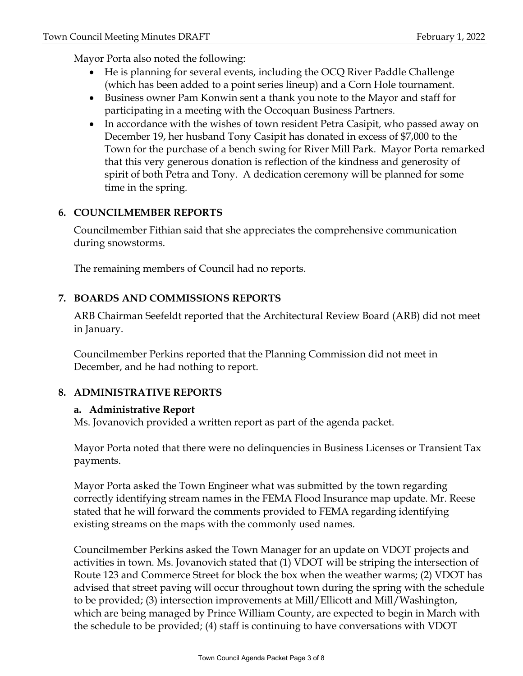Mayor Porta also noted the following:

- He is planning for several events, including the OCQ River Paddle Challenge (which has been added to a point series lineup) and a Corn Hole tournament.
- Business owner Pam Konwin sent a thank you note to the Mayor and staff for participating in a meeting with the Occoquan Business Partners.
- In accordance with the wishes of town resident Petra Casipit, who passed away on December 19, her husband Tony Casipit has donated in excess of \$7,000 to the Town for the purchase of a bench swing for River Mill Park. Mayor Porta remarked that this very generous donation is reflection of the kindness and generosity of spirit of both Petra and Tony. A dedication ceremony will be planned for some time in the spring.

## **6. COUNCILMEMBER REPORTS**

Councilmember Fithian said that she appreciates the comprehensive communication during snowstorms.

The remaining members of Council had no reports.

## **7. BOARDS AND COMMISSIONS REPORTS**

ARB Chairman Seefeldt reported that the Architectural Review Board (ARB) did not meet in January.

Councilmember Perkins reported that the Planning Commission did not meet in December, and he had nothing to report.

## **8. ADMINISTRATIVE REPORTS**

## **a. Administrative Report**

Ms. Jovanovich provided a written report as part of the agenda packet.

Mayor Porta noted that there were no delinquencies in Business Licenses or Transient Tax payments.

Mayor Porta asked the Town Engineer what was submitted by the town regarding correctly identifying stream names in the FEMA Flood Insurance map update. Mr. Reese stated that he will forward the comments provided to FEMA regarding identifying existing streams on the maps with the commonly used names.

Councilmember Perkins asked the Town Manager for an update on VDOT projects and activities in town. Ms. Jovanovich stated that (1) VDOT will be striping the intersection of Route 123 and Commerce Street for block the box when the weather warms; (2) VDOT has advised that street paving will occur throughout town during the spring with the schedule to be provided; (3) intersection improvements at Mill/Ellicott and Mill/Washington, which are being managed by Prince William County, are expected to begin in March with the schedule to be provided; (4) staff is continuing to have conversations with VDOT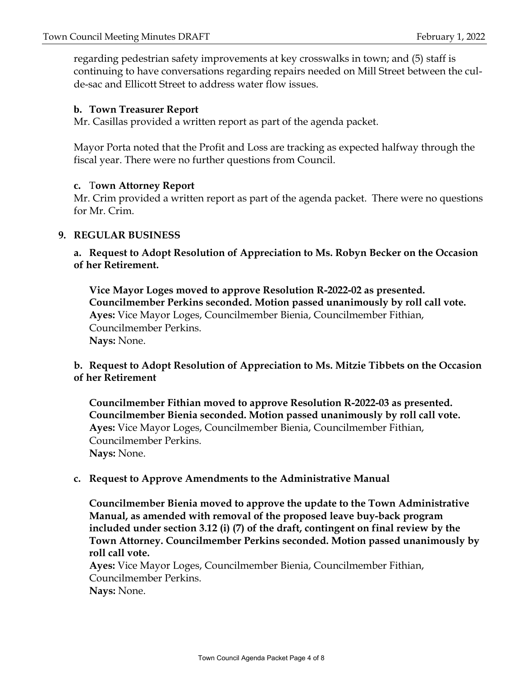regarding pedestrian safety improvements at key crosswalks in town; and (5) staff is continuing to have conversations regarding repairs needed on Mill Street between the culde-sac and Ellicott Street to address water flow issues.

### **b. Town Treasurer Report**

Mr. Casillas provided a written report as part of the agenda packet.

Mayor Porta noted that the Profit and Loss are tracking as expected halfway through the fiscal year. There were no further questions from Council.

### **c.** T**own Attorney Report**

Mr. Crim provided a written report as part of the agenda packet. There were no questions for Mr. Crim.

### **9. REGULAR BUSINESS**

**a. Request to Adopt Resolution of Appreciation to Ms. Robyn Becker on the Occasion of her Retirement.**

**Vice Mayor Loges moved to approve Resolution R-2022-02 as presented. Councilmember Perkins seconded. Motion passed unanimously by roll call vote. Ayes:** Vice Mayor Loges, Councilmember Bienia, Councilmember Fithian, Councilmember Perkins. **Nays:** None.

## **b. Request to Adopt Resolution of Appreciation to Ms. Mitzie Tibbets on the Occasion of her Retirement**

**Councilmember Fithian moved to approve Resolution R-2022-03 as presented. Councilmember Bienia seconded. Motion passed unanimously by roll call vote. Ayes:** Vice Mayor Loges, Councilmember Bienia, Councilmember Fithian, Councilmember Perkins. **Nays:** None.

### **c. Request to Approve Amendments to the Administrative Manual**

**Councilmember Bienia moved to approve the update to the Town Administrative Manual, as amended with removal of the proposed leave buy-back program included under section 3.12 (i) (7) of the draft, contingent on final review by the Town Attorney. Councilmember Perkins seconded. Motion passed unanimously by roll call vote.**

**Ayes:** Vice Mayor Loges, Councilmember Bienia, Councilmember Fithian, Councilmember Perkins. **Nays:** None.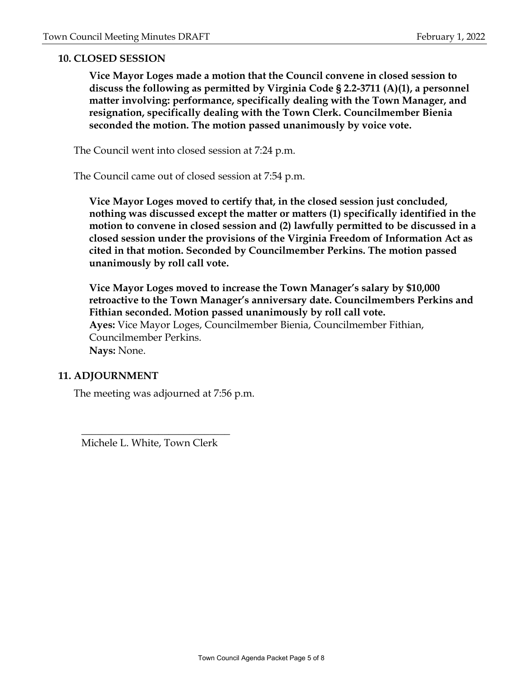## **10. CLOSED SESSION**

**Vice Mayor Loges made a motion that the Council convene in closed session to discuss the following as permitted by Virginia Code § 2.2-3711 (A)(1), a personnel matter involving: performance, specifically dealing with the Town Manager, and resignation, specifically dealing with the Town Clerk. Councilmember Bienia seconded the motion. The motion passed unanimously by voice vote.**

The Council went into closed session at 7:24 p.m.

The Council came out of closed session at 7:54 p.m.

**Vice Mayor Loges moved to certify that, in the closed session just concluded, nothing was discussed except the matter or matters (1) specifically identified in the motion to convene in closed session and (2) lawfully permitted to be discussed in a closed session under the provisions of the Virginia Freedom of Information Act as cited in that motion. Seconded by Councilmember Perkins. The motion passed unanimously by roll call vote.**

**Vice Mayor Loges moved to increase the Town Manager's salary by \$10,000 retroactive to the Town Manager's anniversary date. Councilmembers Perkins and Fithian seconded. Motion passed unanimously by roll call vote. Ayes:** Vice Mayor Loges, Councilmember Bienia, Councilmember Fithian, Councilmember Perkins. **Nays:** None.

### **11. ADJOURNMENT**

The meeting was adjourned at 7:56 p.m.

Michele L. White, Town Clerk

**\_\_\_\_\_\_\_\_\_\_\_\_\_\_\_\_\_\_\_\_\_\_\_\_\_\_\_\_\_**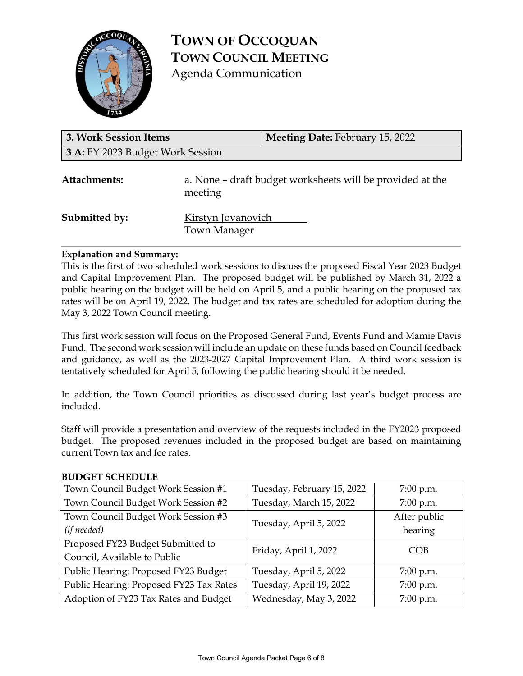

**TOWN OF OCCOQUAN TOWN COUNCIL MEETING** Agenda Communication

| 3. Work Session Items            |                                                                      | <b>Meeting Date: February 15, 2022</b> |  |  |
|----------------------------------|----------------------------------------------------------------------|----------------------------------------|--|--|
| 3 A: FY 2023 Budget Work Session |                                                                      |                                        |  |  |
| Attachments:                     | a. None - draft budget worksheets will be provided at the<br>meeting |                                        |  |  |
| Submitted by:                    | Kirstyn Jovanovich<br><b>Town Manager</b>                            |                                        |  |  |

### **Explanation and Summary:**

This is the first of two scheduled work sessions to discuss the proposed Fiscal Year 2023 Budget and Capital Improvement Plan. The proposed budget will be published by March 31, 2022 a public hearing on the budget will be held on April 5, and a public hearing on the proposed tax rates will be on April 19, 2022. The budget and tax rates are scheduled for adoption during the May 3, 2022 Town Council meeting.

This first work session will focus on the Proposed General Fund, Events Fund and Mamie Davis Fund. The second work session will include an update on these funds based on Council feedback and guidance, as well as the 2023-2027 Capital Improvement Plan. A third work session is tentatively scheduled for April 5, following the public hearing should it be needed.

In addition, the Town Council priorities as discussed during last year's budget process are included.

Staff will provide a presentation and overview of the requests included in the FY2023 proposed budget. The proposed revenues included in the proposed budget are based on maintaining current Town tax and fee rates.

| Town Council Budget Work Session #1     | Tuesday, February 15, 2022 | $7:00$ p.m.  |  |
|-----------------------------------------|----------------------------|--------------|--|
| Town Council Budget Work Session #2     | Tuesday, March 15, 2022    | 7:00 p.m.    |  |
| Town Council Budget Work Session #3     | Tuesday, April 5, 2022     | After public |  |
| (if needed)                             |                            | hearing      |  |
| Proposed FY23 Budget Submitted to       | Friday, April 1, 2022      | COB          |  |
| Council, Available to Public            |                            |              |  |
| Public Hearing: Proposed FY23 Budget    | Tuesday, April 5, 2022     | 7:00 p.m.    |  |
| Public Hearing: Proposed FY23 Tax Rates | Tuesday, April 19, 2022    | 7:00 p.m.    |  |
| Adoption of FY23 Tax Rates and Budget   | Wednesday, May 3, 2022     | 7:00 p.m.    |  |

### **BUDGET SCHEDULE**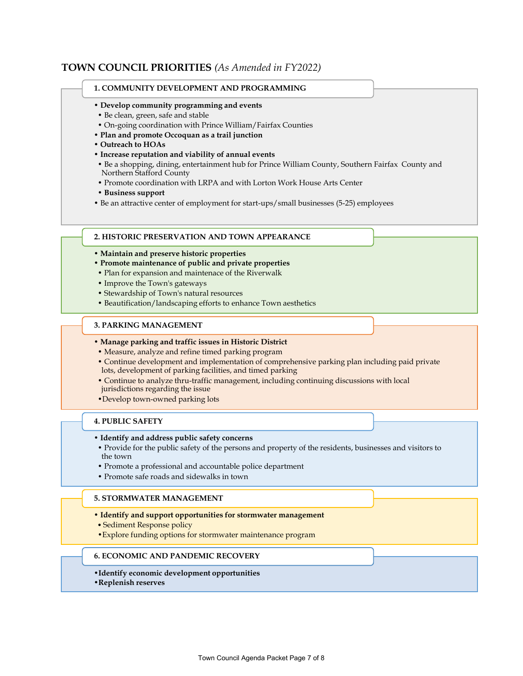### **TOWN COUNCIL PRIORITIES** *(As Amended in FY2022)*

### **1. COMMUNITY DEVELOPMENT AND PROGRAMMING**

#### • **Develop community programming and events**

- Be clean, green, safe and stable
- On-going coordination with Prince William/Fairfax Counties
- **Plan and promote Occoquan as a trail junction**
- **Outreach to HOAs**
- **Increase reputation and viability of annual events**
- Be a shopping, dining, entertainment hub for Prince William County, Southern Fairfax County and Northern Stafford County
- Promote coordination with LRPA and with Lorton Work House Arts Center
- **Business support**
- Be an attractive center of employment for start-ups/small businesses (5-25) employees

#### **2. HISTORIC PRESERVATION AND TOWN APPEARANCE**

#### • **Maintain and preserve historic properties**

- **Promote maintenance of public and private properties**
- Plan for expansion and maintenace of the Riverwalk
- Improve the Town's gateways
- Stewardship of Town's natural resources
- Beautification/landscaping efforts to enhance Town aesthetics

#### **3. PARKING MANAGEMENT**

### • **Manage parking and traffic issues in Historic District**

- Measure, analyze and refine timed parking program
- Continue development and implementation of comprehensive parking plan including paid private lots, development of parking facilities, and timed parking
- Continue to analyze thru-traffic management, including continuing discussions with local
- jurisdictions regarding the issue
- •Develop town-owned parking lots

### **4. PUBLIC SAFETY**

#### • **Identify and address public safety concerns**

- Provide for the public safety of the persons and property of the residents, businesses and visitors to the town
- Promote a professional and accountable police department
- Promote safe roads and sidewalks in town

### **5. STORMWATER MANAGEMENT**

- **Identify and support opportunities for stormwater management**
- Sediment Response policy
- •Explore funding options for stormwater maintenance program

### **6. ECONOMIC AND PANDEMIC RECOVERY**

### •**Identify economic development opportunities**

•**Replenish reserves**